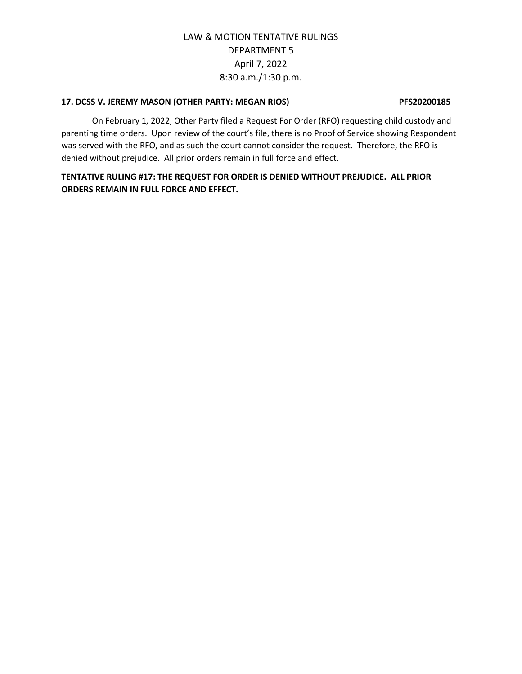### **17. DCSS V. JEREMY MASON (OTHER PARTY: MEGAN RIOS) PFS20200185**

On February 1, 2022, Other Party filed a Request For Order (RFO) requesting child custody and parenting time orders. Upon review of the court's file, there is no Proof of Service showing Respondent was served with the RFO, and as such the court cannot consider the request. Therefore, the RFO is denied without prejudice. All prior orders remain in full force and effect.

**TENTATIVE RULING #17: THE REQUEST FOR ORDER IS DENIED WITHOUT PREJUDICE. ALL PRIOR ORDERS REMAIN IN FULL FORCE AND EFFECT.**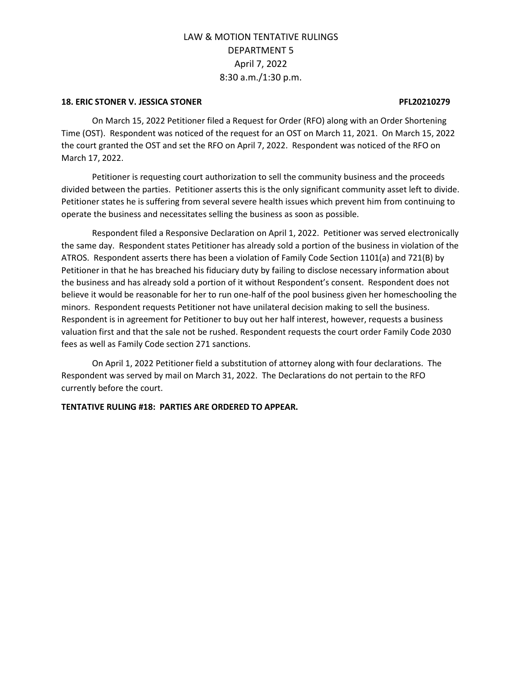### **18. ERIC STONER V. JESSICA STONER PFL20210279**

On March 15, 2022 Petitioner filed a Request for Order (RFO) along with an Order Shortening Time (OST). Respondent was noticed of the request for an OST on March 11, 2021. On March 15, 2022 the court granted the OST and set the RFO on April 7, 2022. Respondent was noticed of the RFO on March 17, 2022.

Petitioner is requesting court authorization to sell the community business and the proceeds divided between the parties. Petitioner asserts this is the only significant community asset left to divide. Petitioner states he is suffering from several severe health issues which prevent him from continuing to operate the business and necessitates selling the business as soon as possible.

Respondent filed a Responsive Declaration on April 1, 2022. Petitioner was served electronically the same day. Respondent states Petitioner has already sold a portion of the business in violation of the ATROS. Respondent asserts there has been a violation of Family Code Section 1101(a) and 721(B) by Petitioner in that he has breached his fiduciary duty by failing to disclose necessary information about the business and has already sold a portion of it without Respondent's consent. Respondent does not believe it would be reasonable for her to run one-half of the pool business given her homeschooling the minors. Respondent requests Petitioner not have unilateral decision making to sell the business. Respondent is in agreement for Petitioner to buy out her half interest, however, requests a business valuation first and that the sale not be rushed. Respondent requests the court order Family Code 2030 fees as well as Family Code section 271 sanctions.

On April 1, 2022 Petitioner field a substitution of attorney along with four declarations. The Respondent was served by mail on March 31, 2022. The Declarations do not pertain to the RFO currently before the court.

## **TENTATIVE RULING #18: PARTIES ARE ORDERED TO APPEAR.**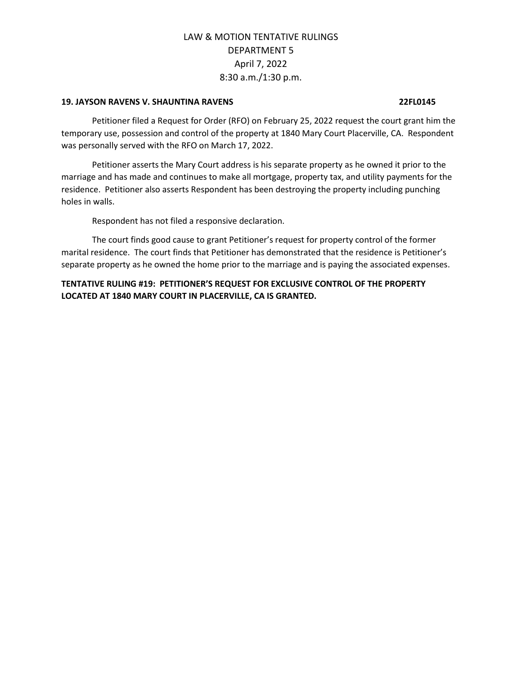### **19. JAYSON RAVENS V. SHAUNTINA RAVENS 22FL0145**

Petitioner filed a Request for Order (RFO) on February 25, 2022 request the court grant him the temporary use, possession and control of the property at 1840 Mary Court Placerville, CA. Respondent was personally served with the RFO on March 17, 2022.

Petitioner asserts the Mary Court address is his separate property as he owned it prior to the marriage and has made and continues to make all mortgage, property tax, and utility payments for the residence. Petitioner also asserts Respondent has been destroying the property including punching holes in walls.

Respondent has not filed a responsive declaration.

The court finds good cause to grant Petitioner's request for property control of the former marital residence. The court finds that Petitioner has demonstrated that the residence is Petitioner's separate property as he owned the home prior to the marriage and is paying the associated expenses.

**TENTATIVE RULING #19: PETITIONER'S REQUEST FOR EXCLUSIVE CONTROL OF THE PROPERTY LOCATED AT 1840 MARY COURT IN PLACERVILLE, CA IS GRANTED.**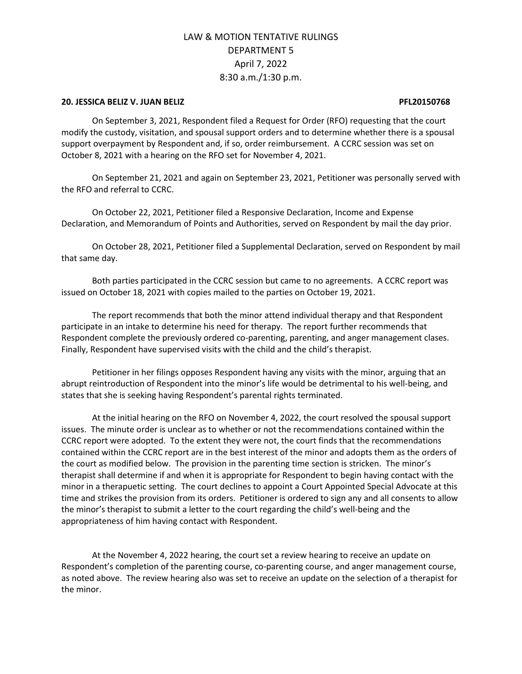### **20. JESSICA BELIZ V. JUAN BELIZ PFL20150768**

On September 3, 2021, Respondent filed a Request for Order (RFO) requesting that the court modify the custody, visitation, and spousal support orders and to determine whether there is a spousal support overpayment by Respondent and, if so, order reimbursement. A CCRC session was set on October 8, 2021 with a hearing on the RFO set for November 4, 2021.

On September 21, 2021 and again on September 23, 2021, Petitioner was personally served with the RFO and referral to CCRC.

On October 22, 2021, Petitioner filed a Responsive Declaration, Income and Expense Declaration, and Memorandum of Points and Authorities, served on Respondent by mail the day prior.

On October 28, 2021, Petitioner filed a Supplemental Declaration, served on Respondent by mail that same day.

Both parties participated in the CCRC session but came to no agreements. A CCRC report was issued on October 18, 2021 with copies mailed to the parties on October 19, 2021.

The report recommends that both the minor attend individual therapy and that Respondent participate in an intake to determine his need for therapy. The report further recommends that Respondent complete the previously ordered co-parenting, parenting, and anger management clases. Finally, Respondent have supervised visits with the child and the child's therapist.

Petitioner in her filings opposes Respondent having any visits with the minor, arguing that an abrupt reintroduction of Respondent into the minor's life would be detrimental to his well-being, and states that she is seeking having Respondent's parental rights terminated.

At the initial hearing on the RFO on November 4, 2022, the court resolved the spousal support issues. The minute order is unclear as to whether or not the recommendations contained within the CCRC report were adopted. To the extent they were not, the court finds that the recommendations contained within the CCRC report are in the best interest of the minor and adopts them as the orders of the court as modified below. The provision in the parenting time section is stricken. The minor's therapist shall determine if and when it is appropriate for Respondent to begin having contact with the minor in a therapuetic setting. The court declines to appoint a Court Appointed Special Advocate at this time and strikes the provision from its orders. Petitioner is ordered to sign any and all consents to allow the minor's therapist to submit a letter to the court regarding the child's well-being and the appropriateness of him having contact with Respondent.

At the November 4, 2022 hearing, the court set a review hearing to receive an update on Respondent's completion of the parenting course, co-parenting course, and anger management course, as noted above. The review hearing also was set to receive an update on the selection of a therapist for the minor.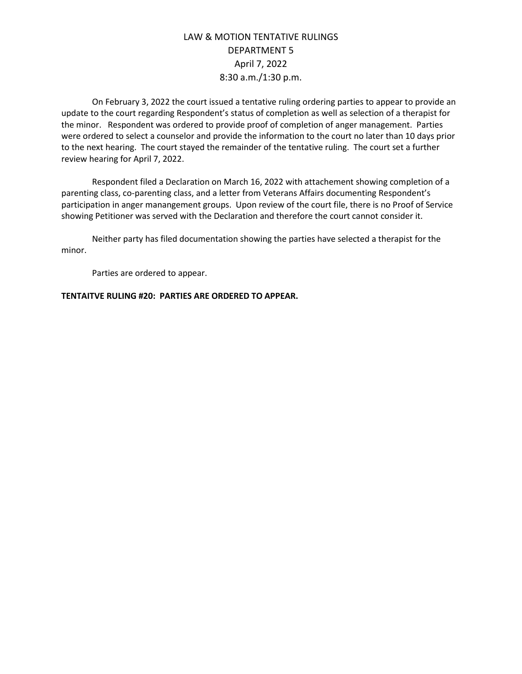On February 3, 2022 the court issued a tentative ruling ordering parties to appear to provide an update to the court regarding Respondent's status of completion as well as selection of a therapist for the minor. Respondent was ordered to provide proof of completion of anger management. Parties were ordered to select a counselor and provide the information to the court no later than 10 days prior to the next hearing. The court stayed the remainder of the tentative ruling. The court set a further review hearing for April 7, 2022.

Respondent filed a Declaration on March 16, 2022 with attachement showing completion of a parenting class, co-parenting class, and a letter from Veterans Affairs documenting Respondent's participation in anger manangement groups. Upon review of the court file, there is no Proof of Service showing Petitioner was served with the Declaration and therefore the court cannot consider it.

Neither party has filed documentation showing the parties have selected a therapist for the minor.

Parties are ordered to appear.

## **TENTAITVE RULING #20: PARTIES ARE ORDERED TO APPEAR.**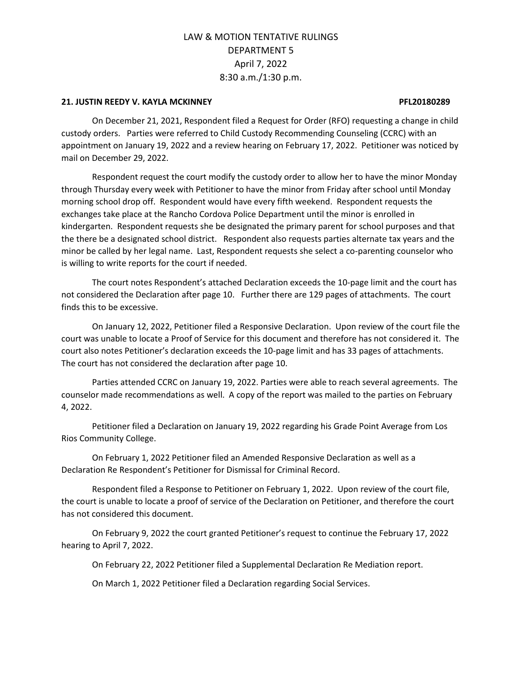### **21. JUSTIN REEDY V. KAYLA MCKINNEY PFL20180289**

On December 21, 2021, Respondent filed a Request for Order (RFO) requesting a change in child custody orders. Parties were referred to Child Custody Recommending Counseling (CCRC) with an appointment on January 19, 2022 and a review hearing on February 17, 2022. Petitioner was noticed by mail on December 29, 2022.

Respondent request the court modify the custody order to allow her to have the minor Monday through Thursday every week with Petitioner to have the minor from Friday after school until Monday morning school drop off. Respondent would have every fifth weekend. Respondent requests the exchanges take place at the Rancho Cordova Police Department until the minor is enrolled in kindergarten. Respondent requests she be designated the primary parent for school purposes and that the there be a designated school district. Respondent also requests parties alternate tax years and the minor be called by her legal name. Last, Respondent requests she select a co-parenting counselor who is willing to write reports for the court if needed.

The court notes Respondent's attached Declaration exceeds the 10-page limit and the court has not considered the Declaration after page 10. Further there are 129 pages of attachments. The court finds this to be excessive.

On January 12, 2022, Petitioner filed a Responsive Declaration. Upon review of the court file the court was unable to locate a Proof of Service for this document and therefore has not considered it. The court also notes Petitioner's declaration exceeds the 10-page limit and has 33 pages of attachments. The court has not considered the declaration after page 10.

Parties attended CCRC on January 19, 2022. Parties were able to reach several agreements. The counselor made recommendations as well. A copy of the report was mailed to the parties on February 4, 2022.

Petitioner filed a Declaration on January 19, 2022 regarding his Grade Point Average from Los Rios Community College.

On February 1, 2022 Petitioner filed an Amended Responsive Declaration as well as a Declaration Re Respondent's Petitioner for Dismissal for Criminal Record.

Respondent filed a Response to Petitioner on February 1, 2022. Upon review of the court file, the court is unable to locate a proof of service of the Declaration on Petitioner, and therefore the court has not considered this document.

On February 9, 2022 the court granted Petitioner's request to continue the February 17, 2022 hearing to April 7, 2022.

On February 22, 2022 Petitioner filed a Supplemental Declaration Re Mediation report.

On March 1, 2022 Petitioner filed a Declaration regarding Social Services.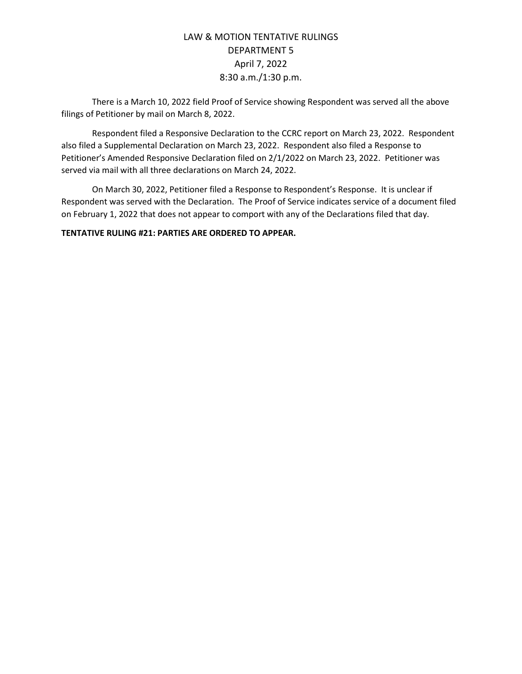There is a March 10, 2022 field Proof of Service showing Respondent was served all the above filings of Petitioner by mail on March 8, 2022.

Respondent filed a Responsive Declaration to the CCRC report on March 23, 2022. Respondent also filed a Supplemental Declaration on March 23, 2022. Respondent also filed a Response to Petitioner's Amended Responsive Declaration filed on 2/1/2022 on March 23, 2022. Petitioner was served via mail with all three declarations on March 24, 2022.

On March 30, 2022, Petitioner filed a Response to Respondent's Response. It is unclear if Respondent was served with the Declaration. The Proof of Service indicates service of a document filed on February 1, 2022 that does not appear to comport with any of the Declarations filed that day.

**TENTATIVE RULING #21: PARTIES ARE ORDERED TO APPEAR.**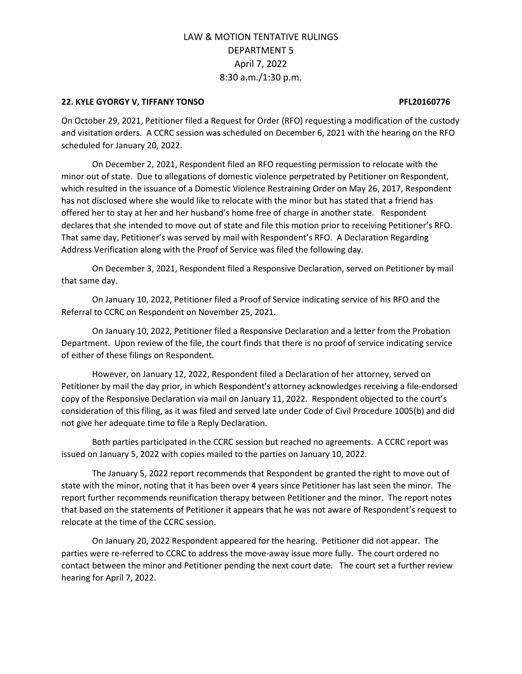### **22. KYLE GYORGY V, TIFFANY TONSO PFL20160776**

On October 29, 2021, Petitioner filed a Request for Order (RFO) requesting a modification of the custody and visitation orders. A CCRC session was scheduled on December 6, 2021 with the hearing on the RFO scheduled for January 20, 2022.

On December 2, 2021, Respondent filed an RFO requesting permission to relocate with the minor out of state. Due to allegations of domestic violence perpetrated by Petitioner on Respondent, which resulted in the issuance of a Domestic Violence Restraining Order on May 26, 2017, Respondent has not disclosed where she would like to relocate with the minor but has stated that a friend has offered her to stay at her and her husband's home free of charge in another state. Respondent declares that she intended to move out of state and file this motion prior to receiving Petitioner's RFO. That same day, Petitioner's was served by mail with Respondent's RFO. A Declaration Regarding Address Verification along with the Proof of Service was filed the following day.

On December 3, 2021, Respondent filed a Responsive Declaration, served on Petitioner by mail that same day.

On January 10, 2022, Petitioner filed a Proof of Service indicating service of his RFO and the Referral to CCRC on Respondent on November 25, 2021.

On January 10, 2022, Petitioner filed a Responsive Declaration and a letter from the Probation Department. Upon review of the file, the court finds that there is no proof of service indicating service of either of these filings on Respondent.

However, on January 12, 2022, Respondent filed a Declaration of her attorney, served on Petitioner by mail the day prior, in which Respondent's attorney acknowledges receiving a file-endorsed copy of the Responsive Declaration via mail on January 11, 2022. Respondent objected to the court's consideration of this filing, as it was filed and served late under Code of Civil Procedure 1005(b) and did not give her adequate time to file a Reply Declaration.

Both parties participated in the CCRC session but reached no agreements. A CCRC report was issued on January 5, 2022 with copies mailed to the parties on January 10, 2022.

The January 5, 2022 report recommends that Respondent be granted the right to move out of state with the minor, noting that it has been over 4 years since Petitioner has last seen the minor. The report further recommends reunification therapy between Petitioner and the minor. The report notes that based on the statements of Petitioner it appears that he was not aware of Respondent's request to relocate at the time of the CCRC session.

On January 20, 2022 Respondent appeared for the hearing. Petitioner did not appear. The parties were re-referred to CCRC to address the move-away issue more fully. The court ordered no contact between the minor and Petitioner pending the next court date. The court set a further review hearing for April 7, 2022.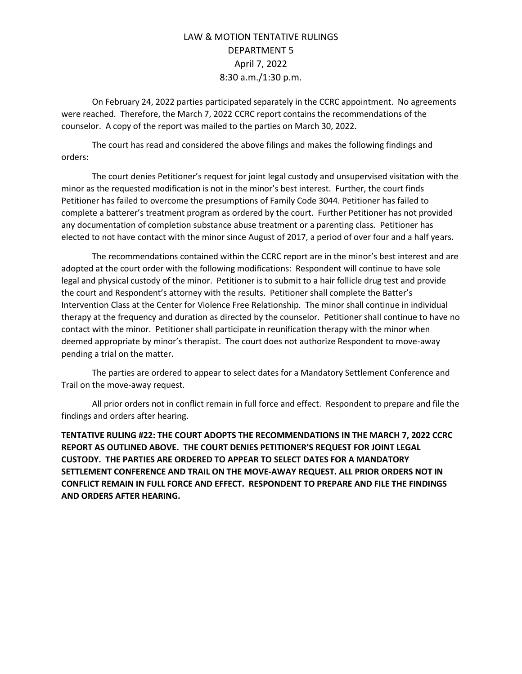On February 24, 2022 parties participated separately in the CCRC appointment. No agreements were reached. Therefore, the March 7, 2022 CCRC report contains the recommendations of the counselor. A copy of the report was mailed to the parties on March 30, 2022.

The court has read and considered the above filings and makes the following findings and orders:

The court denies Petitioner's request for joint legal custody and unsupervised visitation with the minor as the requested modification is not in the minor's best interest. Further, the court finds Petitioner has failed to overcome the presumptions of Family Code 3044. Petitioner has failed to complete a batterer's treatment program as ordered by the court. Further Petitioner has not provided any documentation of completion substance abuse treatment or a parenting class. Petitioner has elected to not have contact with the minor since August of 2017, a period of over four and a half years.

The recommendations contained within the CCRC report are in the minor's best interest and are adopted at the court order with the following modifications: Respondent will continue to have sole legal and physical custody of the minor. Petitioner is to submit to a hair follicle drug test and provide the court and Respondent's attorney with the results. Petitioner shall complete the Batter's Intervention Class at the Center for Violence Free Relationship. The minor shall continue in individual therapy at the frequency and duration as directed by the counselor. Petitioner shall continue to have no contact with the minor. Petitioner shall participate in reunification therapy with the minor when deemed appropriate by minor's therapist. The court does not authorize Respondent to move-away pending a trial on the matter.

The parties are ordered to appear to select dates for a Mandatory Settlement Conference and Trail on the move-away request.

All prior orders not in conflict remain in full force and effect. Respondent to prepare and file the findings and orders after hearing.

**TENTATIVE RULING #22: THE COURT ADOPTS THE RECOMMENDATIONS IN THE MARCH 7, 2022 CCRC REPORT AS OUTLINED ABOVE. THE COURT DENIES PETITIONER'S REQUEST FOR JOINT LEGAL CUSTODY. THE PARTIES ARE ORDERED TO APPEAR TO SELECT DATES FOR A MANDATORY SETTLEMENT CONFERENCE AND TRAIL ON THE MOVE-AWAY REQUEST. ALL PRIOR ORDERS NOT IN CONFLICT REMAIN IN FULL FORCE AND EFFECT. RESPONDENT TO PREPARE AND FILE THE FINDINGS AND ORDERS AFTER HEARING.**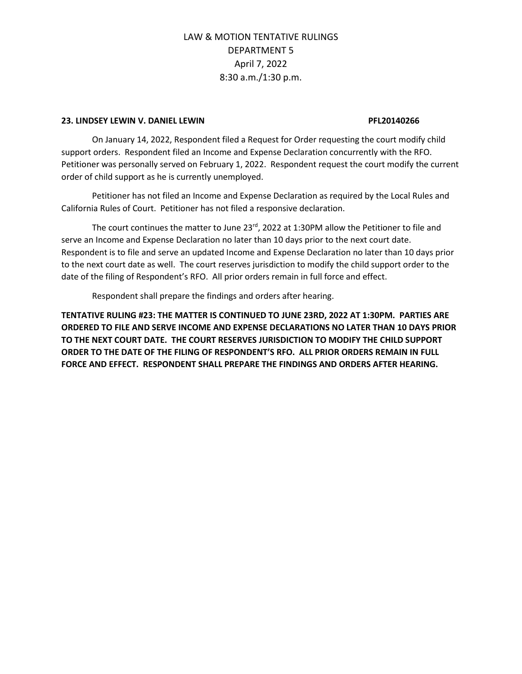### **23. LINDSEY LEWIN V. DANIEL LEWIN PFL20140266**

On January 14, 2022, Respondent filed a Request for Order requesting the court modify child support orders. Respondent filed an Income and Expense Declaration concurrently with the RFO. Petitioner was personally served on February 1, 2022. Respondent request the court modify the current order of child support as he is currently unemployed.

Petitioner has not filed an Income and Expense Declaration as required by the Local Rules and California Rules of Court. Petitioner has not filed a responsive declaration.

The court continues the matter to June 23<sup>rd</sup>, 2022 at 1:30PM allow the Petitioner to file and serve an Income and Expense Declaration no later than 10 days prior to the next court date. Respondent is to file and serve an updated Income and Expense Declaration no later than 10 days prior to the next court date as well. The court reserves jurisdiction to modify the child support order to the date of the filing of Respondent's RFO. All prior orders remain in full force and effect.

Respondent shall prepare the findings and orders after hearing.

**TENTATIVE RULING #23: THE MATTER IS CONTINUED TO JUNE 23RD, 2022 AT 1:30PM. PARTIES ARE ORDERED TO FILE AND SERVE INCOME AND EXPENSE DECLARATIONS NO LATER THAN 10 DAYS PRIOR TO THE NEXT COURT DATE. THE COURT RESERVES JURISDICTION TO MODIFY THE CHILD SUPPORT ORDER TO THE DATE OF THE FILING OF RESPONDENT'S RFO. ALL PRIOR ORDERS REMAIN IN FULL FORCE AND EFFECT. RESPONDENT SHALL PREPARE THE FINDINGS AND ORDERS AFTER HEARING.**